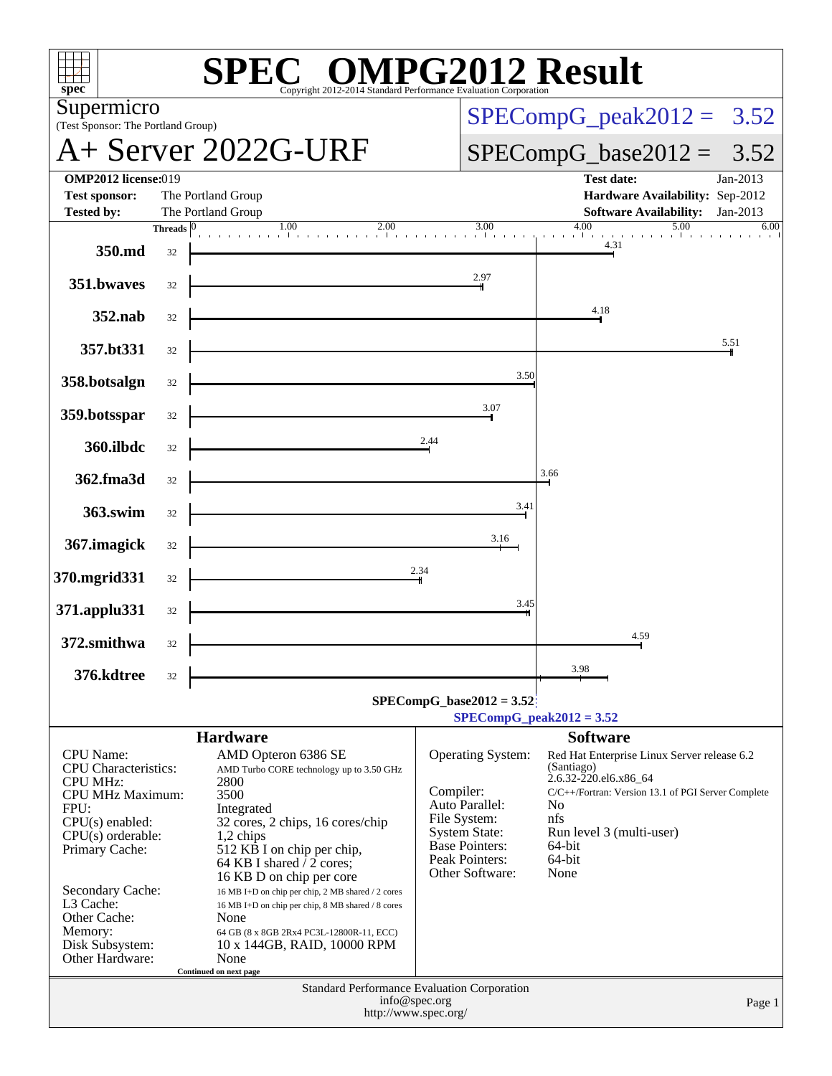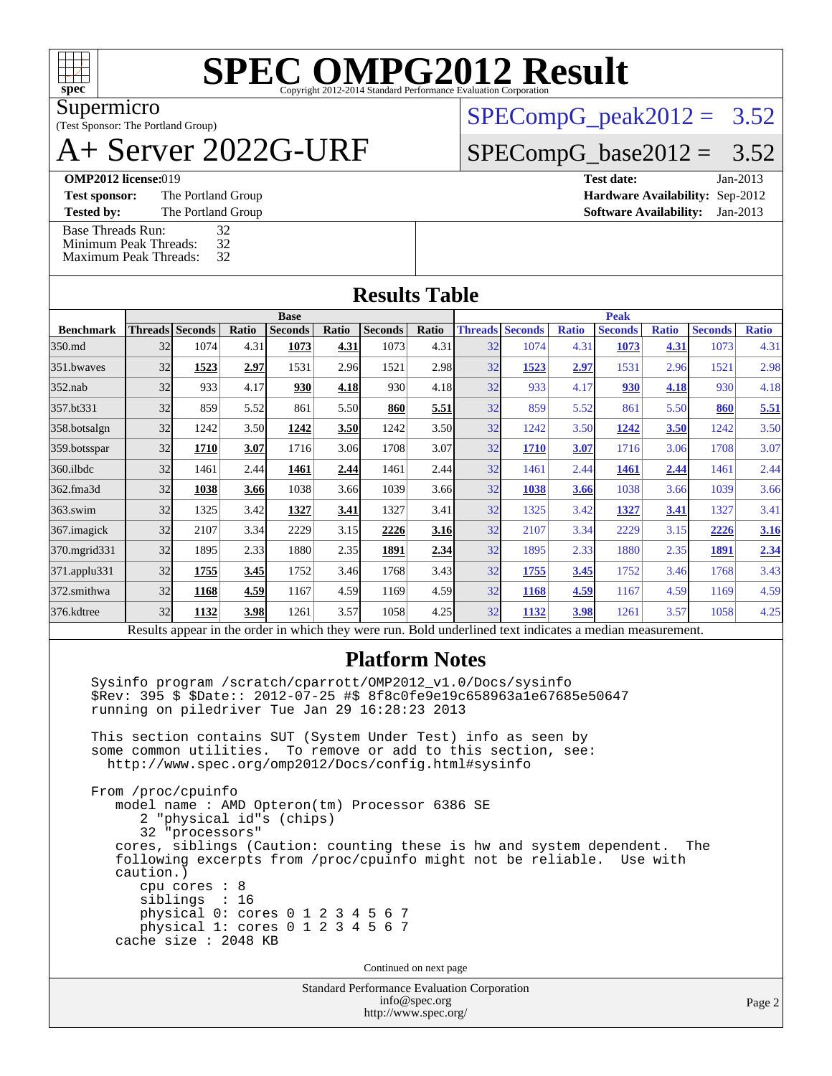

Supermicro

#### (Test Sponsor: The Portland Group) A+ Server 2022G-URF

 $SPECompG_peak2012 = 3.52$  $SPECompG_peak2012 = 3.52$ 

 $SPECompG_base2012 = 3.52$  $SPECompG_base2012 = 3.52$ 

**[OMP2012 license:](http://www.spec.org/auto/omp2012/Docs/result-fields.html#OMP2012license)** 019

**[Test sponsor:](http://www.spec.org/auto/omp2012/Docs/result-fields.html#Testsponsor)** The Portland Group

**[Tested by:](http://www.spec.org/auto/omp2012/Docs/result-fields.html#Testedby)** The Portland Group [Base Threads Run:](http://www.spec.org/auto/omp2012/Docs/result-fields.html#BaseThreadsRun) 32<br>Minimum Peak Threads: 32 [Minimum Peak Threads:](http://www.spec.org/auto/omp2012/Docs/result-fields.html#MinimumPeakThreads) 32<br>Maximum Peak Threads: 32

[Maximum Peak Threads:](http://www.spec.org/auto/omp2012/Docs/result-fields.html#MaximumPeakThreads)

| Test date:                             | Jan-2013 |
|----------------------------------------|----------|
| <b>Hardware Availability: Sep-2012</b> |          |
| <b>Software Availability:</b> Jan-2013 |          |

### **[Results Table](http://www.spec.org/auto/omp2012/Docs/result-fields.html#ResultsTable)**

| 32 | <b>Threads Seconds</b> | Ratio |                |                                                                                      |                | <b>Base</b>                                                                                                                                               |                              |                                                                      |              |                |                                                              |                | <b>Peak</b>                                                                                                                         |  |  |  |  |  |
|----|------------------------|-------|----------------|--------------------------------------------------------------------------------------|----------------|-----------------------------------------------------------------------------------------------------------------------------------------------------------|------------------------------|----------------------------------------------------------------------|--------------|----------------|--------------------------------------------------------------|----------------|-------------------------------------------------------------------------------------------------------------------------------------|--|--|--|--|--|
|    |                        |       | <b>Seconds</b> | Ratio                                                                                | <b>Seconds</b> | Ratio                                                                                                                                                     | <b>Threads</b>               | <b>Seconds</b>                                                       | <b>Ratio</b> | <b>Seconds</b> | <b>Ratio</b>                                                 | <b>Seconds</b> | <b>Ratio</b>                                                                                                                        |  |  |  |  |  |
|    | 1074                   | 4.31  | 1073           | 4.31                                                                                 | 1073           | 4.31                                                                                                                                                      | 32                           | 1074                                                                 | 4.31         | 1073           | 4.31                                                         | 1073           | 4.31                                                                                                                                |  |  |  |  |  |
| 32 | 1523                   | 2.97  | 1531           |                                                                                      | 1521           |                                                                                                                                                           | 32                           | 1523                                                                 | 2.97         | 1531           |                                                              | 1521           | 2.98                                                                                                                                |  |  |  |  |  |
| 32 | 933                    |       | 930            |                                                                                      | 930            |                                                                                                                                                           | 32                           | 933                                                                  |              | 930            |                                                              | 930            | 4.18                                                                                                                                |  |  |  |  |  |
| 32 | 859                    |       | 861            |                                                                                      | 860            |                                                                                                                                                           | 32                           | 859                                                                  | 5.52         | 861            |                                                              | 860            | 5.51                                                                                                                                |  |  |  |  |  |
| 32 | 1242                   |       | 1242           |                                                                                      | 1242           |                                                                                                                                                           | 32                           | 1242                                                                 |              | 1242           |                                                              | 1242           | 3.50                                                                                                                                |  |  |  |  |  |
| 32 | 1710                   | 3.07  | 1716           |                                                                                      | 1708           |                                                                                                                                                           | 32                           | 1710                                                                 | 3.07         | 1716           |                                                              | 1708           | 3.07                                                                                                                                |  |  |  |  |  |
| 32 | 1461                   |       | 1461           |                                                                                      | 1461           |                                                                                                                                                           | 32                           | 1461                                                                 | 2.44         | 1461           | 2.44                                                         | 1461           | 2.44                                                                                                                                |  |  |  |  |  |
| 32 | 1038                   |       | 1038           |                                                                                      | 1039           |                                                                                                                                                           | 32                           | 1038                                                                 |              | 1038           |                                                              | 1039           | 3.66                                                                                                                                |  |  |  |  |  |
| 32 | 1325                   |       | 1327           | 3.41                                                                                 | 1327           |                                                                                                                                                           | 32                           | 1325                                                                 | 3.42         | 1327           | 3.41                                                         | 1327           | 3.41                                                                                                                                |  |  |  |  |  |
| 32 | 2107                   |       | 2229           |                                                                                      | 2226           |                                                                                                                                                           | 32                           | 2107                                                                 |              | 2229           |                                                              | 2226           | 3.16                                                                                                                                |  |  |  |  |  |
| 32 | 1895                   |       | 1880           |                                                                                      | 1891           |                                                                                                                                                           | 32                           | 1895                                                                 |              | 1880           |                                                              | 1891           | 2.34                                                                                                                                |  |  |  |  |  |
| 32 | 1755                   |       | 1752           |                                                                                      | 1768           |                                                                                                                                                           | 32                           | 1755                                                                 |              | 1752           |                                                              | 1768           | 3.43                                                                                                                                |  |  |  |  |  |
| 32 | 1168                   |       | 1167           |                                                                                      | 1169           |                                                                                                                                                           | 32                           | 1168                                                                 |              | 1167           |                                                              | 1169           | 4.59                                                                                                                                |  |  |  |  |  |
| 32 | 1132                   |       | 1261           |                                                                                      | 1058           |                                                                                                                                                           | 32                           | 1132                                                                 |              | 1261           |                                                              | 1058           | 4.25                                                                                                                                |  |  |  |  |  |
|    |                        |       |                | 4.17<br>5.52<br>3.50<br>2.44<br>3.66<br>3.42<br>3.34<br>2.33<br>3.45<br>4.59<br>3.98 |                | 2.96<br>4.18<br>5.50<br><b>3.50</b><br>3.06<br>2.44<br>3.66<br>3.15<br>2.35<br>3.46<br>4.59<br>3.57<br>Results appear in the order in which they were run | 5.51<br>2.44<br>3.41<br>2.34 | 2.98<br>4.18<br>3.50<br>3.07<br>3.66<br>3.16<br>3.43<br>4.59<br>4.25 |              |                | 4.17<br>3.50<br>3.66<br>3.34<br>2.33<br>3.45<br>4.59<br>3.98 | 3.50           | 2.96<br>4.18<br>5.50<br>3.06<br>3.66<br>3.15<br>2.35<br>3.46<br>4.59<br>3.57<br>Rold underlined text indicates a median measurement |  |  |  |  |  |

Results appear in the [order in which they were run.](http://www.spec.org/auto/omp2012/Docs/result-fields.html#RunOrder) Bold underlined text [indicates a median measurement.](http://www.spec.org/auto/omp2012/Docs/result-fields.html#Median)

### **[Platform Notes](http://www.spec.org/auto/omp2012/Docs/result-fields.html#PlatformNotes)**

 Sysinfo program /scratch/cparrott/OMP2012\_v1.0/Docs/sysinfo \$Rev: 395 \$ \$Date:: 2012-07-25 #\$ 8f8c0fe9e19c658963a1e67685e50647 running on piledriver Tue Jan 29 16:28:23 2013

 This section contains SUT (System Under Test) info as seen by some common utilities. To remove or add to this section, see: <http://www.spec.org/omp2012/Docs/config.html#sysinfo>

 From /proc/cpuinfo model name : AMD Opteron(tm) Processor 6386 SE 2 "physical id"s (chips) 32 "processors" cores, siblings (Caution: counting these is hw and system dependent. The following excerpts from /proc/cpuinfo might not be reliable. Use with caution.) cpu cores : 8 siblings : 16 physical 0: cores 0 1 2 3 4 5 6 7 physical 1: cores 0 1 2 3 4 5 6 7 cache size : 2048 KB

Continued on next page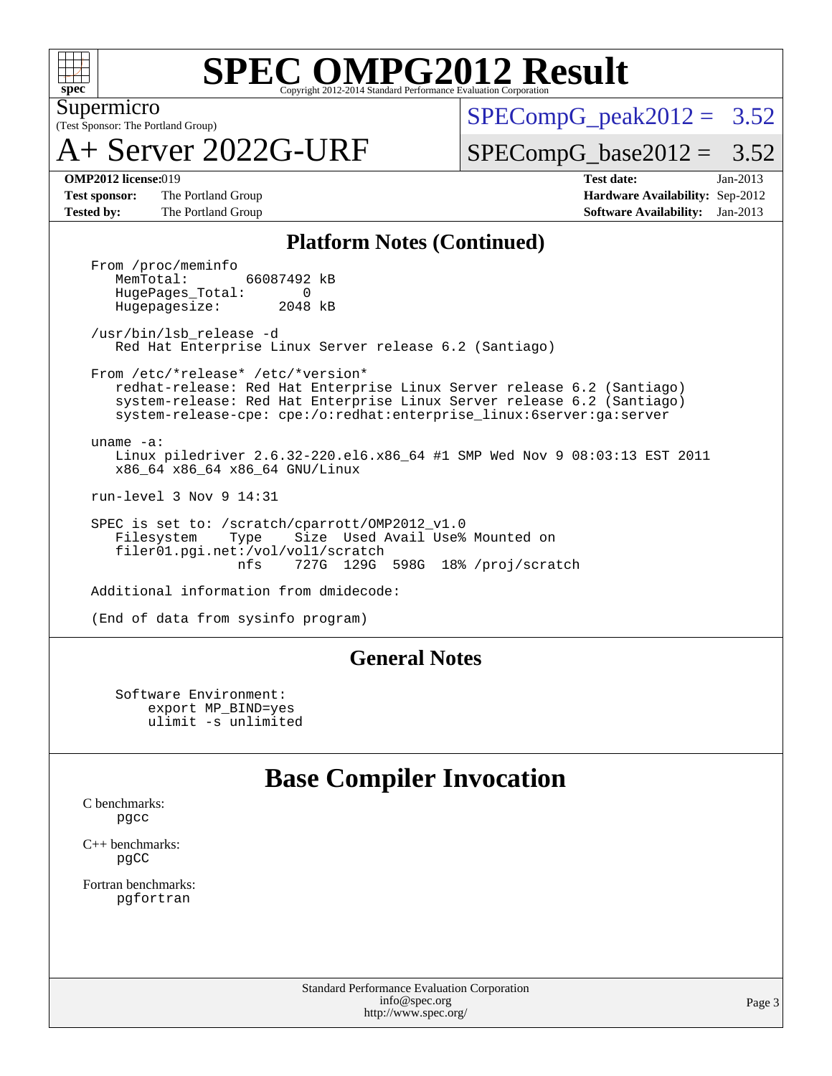

(Test Sponsor: The Portland Group) Supermicro

A+ Server 2022G-URF

 $SPECompG<sub>peak2012</sub> = 3.52$ 

 $SPECompG_base2012 = 3.52$  $SPECompG_base2012 = 3.52$ 

**[Test sponsor:](http://www.spec.org/auto/omp2012/Docs/result-fields.html#Testsponsor)** The Portland Group **[Hardware Availability:](http://www.spec.org/auto/omp2012/Docs/result-fields.html#HardwareAvailability)** Sep-2012 **[Tested by:](http://www.spec.org/auto/omp2012/Docs/result-fields.html#Testedby)** The Portland Group **[Software Availability:](http://www.spec.org/auto/omp2012/Docs/result-fields.html#SoftwareAvailability)** Jan-2013

**[OMP2012 license:](http://www.spec.org/auto/omp2012/Docs/result-fields.html#OMP2012license)**019 **[Test date:](http://www.spec.org/auto/omp2012/Docs/result-fields.html#Testdate)** Jan-2013

#### **[Platform Notes \(Continued\)](http://www.spec.org/auto/omp2012/Docs/result-fields.html#PlatformNotes)**

From /proc/meminfo<br>MemTotal: 66087492 kB HugePages\_Total: 0<br>Hugepagesize: 2048 kB Hugepagesize:

 /usr/bin/lsb\_release -d Red Hat Enterprise Linux Server release 6.2 (Santiago)

 From /etc/\*release\* /etc/\*version\* redhat-release: Red Hat Enterprise Linux Server release 6.2 (Santiago) system-release: Red Hat Enterprise Linux Server release 6.2 (Santiago) system-release-cpe: cpe:/o:redhat:enterprise\_linux:6server:ga:server

 uname -a: Linux piledriver 2.6.32-220.el6.x86\_64 #1 SMP Wed Nov 9 08:03:13 EST 2011 x86\_64 x86\_64 x86\_64 GNU/Linux

run-level 3 Nov 9 14:31

SPEC is set to: /scratch/cparrott/OMP2012\_v1.0<br>Filesystem Type Size Used Avail Use% Filesystem Type Size Used Avail Use% Mounted on filer01.pgi.net:/vol/vol1/scratch nfs 727G 129G 598G 18% /proj/scratch

Additional information from dmidecode:

(End of data from sysinfo program)

### **[General Notes](http://www.spec.org/auto/omp2012/Docs/result-fields.html#GeneralNotes)**

 Software Environment: export MP\_BIND=yes ulimit -s unlimited

### **[Base Compiler Invocation](http://www.spec.org/auto/omp2012/Docs/result-fields.html#BaseCompilerInvocation)**

[C benchmarks](http://www.spec.org/auto/omp2012/Docs/result-fields.html#Cbenchmarks): [pgcc](http://www.spec.org/omp2012/results/res2013q1/omp2012-20130205-00018.flags.html#user_CCbase_pgcc_l)

[C++ benchmarks:](http://www.spec.org/auto/omp2012/Docs/result-fields.html#CXXbenchmarks) [pgCC](http://www.spec.org/omp2012/results/res2013q1/omp2012-20130205-00018.flags.html#user_CXXbase_pgcpp_l_ab9852b71f93c2d78825bb6ac07dfa02)

[Fortran benchmarks](http://www.spec.org/auto/omp2012/Docs/result-fields.html#Fortranbenchmarks): [pgfortran](http://www.spec.org/omp2012/results/res2013q1/omp2012-20130205-00018.flags.html#user_FCbase_pgfortran_l)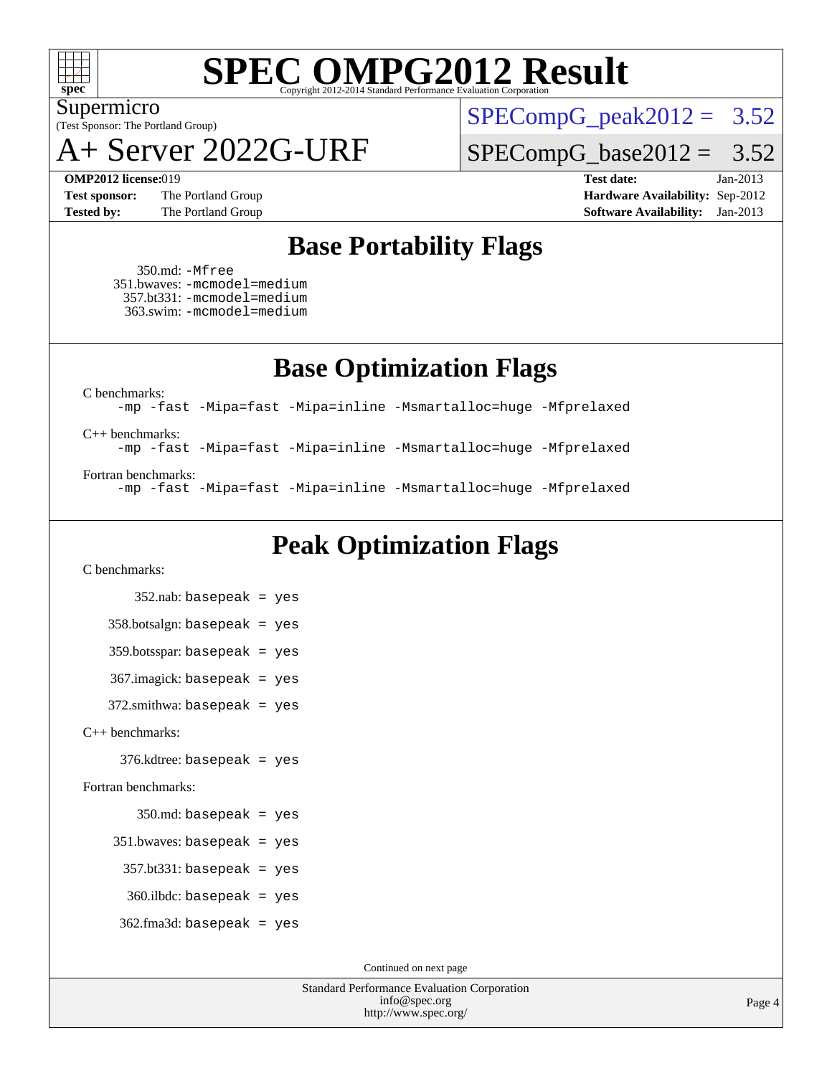

(Test Sponsor: The Portland Group) Supermicro

A+ Server 2022G-URF

 $SPECompG_peak2012 = 3.52$  $SPECompG_peak2012 = 3.52$ 

 $SPECompG_base2012 = 3.52$  $SPECompG_base2012 = 3.52$ 

**[OMP2012 license:](http://www.spec.org/auto/omp2012/Docs/result-fields.html#OMP2012license)**019 **[Test date:](http://www.spec.org/auto/omp2012/Docs/result-fields.html#Testdate)** Jan-2013 **[Test sponsor:](http://www.spec.org/auto/omp2012/Docs/result-fields.html#Testsponsor)** The Portland Group **[Hardware Availability:](http://www.spec.org/auto/omp2012/Docs/result-fields.html#HardwareAvailability)** Sep-2012 **[Tested by:](http://www.spec.org/auto/omp2012/Docs/result-fields.html#Testedby)** The Portland Group **[Software Availability:](http://www.spec.org/auto/omp2012/Docs/result-fields.html#SoftwareAvailability)** Jan-2013

### **[Base Portability Flags](http://www.spec.org/auto/omp2012/Docs/result-fields.html#BasePortabilityFlags)**

 350.md: [-Mfree](http://www.spec.org/omp2012/results/res2013q1/omp2012-20130205-00018.flags.html#user_baseFPORTABILITY350_md_Mfree) 351.bwaves: [-mcmodel=medium](http://www.spec.org/omp2012/results/res2013q1/omp2012-20130205-00018.flags.html#user_baseFPORTABILITY351_bwaves_mcmodel_medium) 357.bt331: [-mcmodel=medium](http://www.spec.org/omp2012/results/res2013q1/omp2012-20130205-00018.flags.html#user_baseFPORTABILITY357_bt331_mcmodel_medium) 363.swim: [-mcmodel=medium](http://www.spec.org/omp2012/results/res2013q1/omp2012-20130205-00018.flags.html#user_baseFPORTABILITY363_swim_mcmodel_medium)

**[Base Optimization Flags](http://www.spec.org/auto/omp2012/Docs/result-fields.html#BaseOptimizationFlags)**

[C benchmarks](http://www.spec.org/auto/omp2012/Docs/result-fields.html#Cbenchmarks):

[-mp](http://www.spec.org/omp2012/results/res2013q1/omp2012-20130205-00018.flags.html#user_CCbase_mp) [-fast](http://www.spec.org/omp2012/results/res2013q1/omp2012-20130205-00018.flags.html#user_CCbase_fast) [-Mipa=fast](http://www.spec.org/omp2012/results/res2013q1/omp2012-20130205-00018.flags.html#user_CCbase_Mipa_fast) [-Mipa=inline](http://www.spec.org/omp2012/results/res2013q1/omp2012-20130205-00018.flags.html#user_CCbase_Mipa_inline) [-Msmartalloc=huge](http://www.spec.org/omp2012/results/res2013q1/omp2012-20130205-00018.flags.html#user_CCbase_Msmartalloc_huge) [-Mfprelaxed](http://www.spec.org/omp2012/results/res2013q1/omp2012-20130205-00018.flags.html#user_CCbase_Mfprelaxed)

[C++ benchmarks:](http://www.spec.org/auto/omp2012/Docs/result-fields.html#CXXbenchmarks)

[-mp](http://www.spec.org/omp2012/results/res2013q1/omp2012-20130205-00018.flags.html#user_CXXbase_mp) [-fast](http://www.spec.org/omp2012/results/res2013q1/omp2012-20130205-00018.flags.html#user_CXXbase_fast) [-Mipa=fast](http://www.spec.org/omp2012/results/res2013q1/omp2012-20130205-00018.flags.html#user_CXXbase_Mipa_fast) [-Mipa=inline](http://www.spec.org/omp2012/results/res2013q1/omp2012-20130205-00018.flags.html#user_CXXbase_Mipa_inline) [-Msmartalloc=huge](http://www.spec.org/omp2012/results/res2013q1/omp2012-20130205-00018.flags.html#user_CXXbase_Msmartalloc_huge) [-Mfprelaxed](http://www.spec.org/omp2012/results/res2013q1/omp2012-20130205-00018.flags.html#user_CXXbase_Mfprelaxed)

[Fortran benchmarks](http://www.spec.org/auto/omp2012/Docs/result-fields.html#Fortranbenchmarks):

[-mp](http://www.spec.org/omp2012/results/res2013q1/omp2012-20130205-00018.flags.html#user_FCbase_mp) [-fast](http://www.spec.org/omp2012/results/res2013q1/omp2012-20130205-00018.flags.html#user_FCbase_fast) [-Mipa=fast](http://www.spec.org/omp2012/results/res2013q1/omp2012-20130205-00018.flags.html#user_FCbase_Mipa_fast) [-Mipa=inline](http://www.spec.org/omp2012/results/res2013q1/omp2012-20130205-00018.flags.html#user_FCbase_Mipa_inline) [-Msmartalloc=huge](http://www.spec.org/omp2012/results/res2013q1/omp2012-20130205-00018.flags.html#user_FCbase_Msmartalloc_huge) [-Mfprelaxed](http://www.spec.org/omp2012/results/res2013q1/omp2012-20130205-00018.flags.html#user_FCbase_Mfprelaxed)

## **[Peak Optimization Flags](http://www.spec.org/auto/omp2012/Docs/result-fields.html#PeakOptimizationFlags)**

[C benchmarks](http://www.spec.org/auto/omp2012/Docs/result-fields.html#Cbenchmarks):

 352.nab: basepeak = yes 358.botsalgn: basepeak = yes 359.botsspar: basepeak = yes 367.imagick: basepeak = yes 372.smithwa: basepeak = yes [C++ benchmarks:](http://www.spec.org/auto/omp2012/Docs/result-fields.html#CXXbenchmarks) 376.kdtree: basepeak = yes [Fortran benchmarks](http://www.spec.org/auto/omp2012/Docs/result-fields.html#Fortranbenchmarks): 350.md: basepeak = yes 351.bwaves: basepeak = yes  $357.bt331:$  basepeak = yes 360.ilbdc: basepeak = yes  $362$ .fma $3d$ : basepeak = yes

Continued on next page